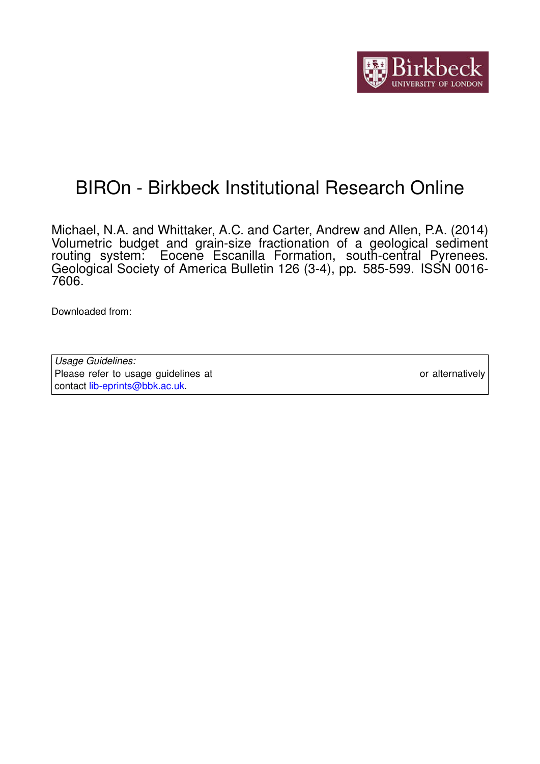

# BIROn - Birkbeck Institutional Research Online

Michael, N.A. and Whittaker, A.C. and Carter, Andrew and Allen, P.A. (2014) Volumetric budget and grain-size fractionation of a geological sediment routing system: Eocene Escanilla Formation, south-central Pyrenees. Geological Society of America Bulletin 126 (3-4), pp. 585-599. ISSN 0016- 7606.

Downloaded from: <https://eprints.bbk.ac.uk/id/eprint/14196/>

*Usage Guidelines:* Please refer to usage guidelines at <https://eprints.bbk.ac.uk/policies.html> or alternatively contact [lib-eprints@bbk.ac.uk.](mailto:lib-eprints@bbk.ac.uk)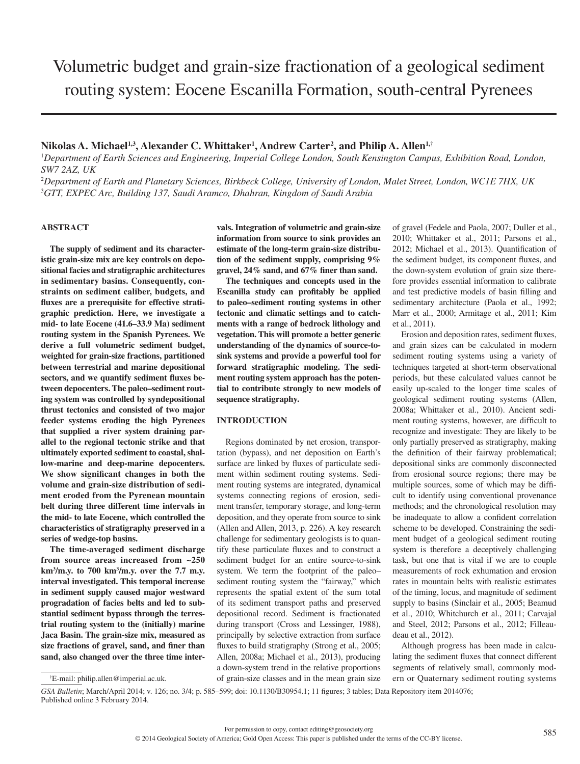# $N$ ikolas A. Michael<sup>1,3</sup>, Alexander C. Whittaker<sup>1</sup>, Andrew Carter<sup>2</sup>, and Philip A. Allen<sup>1,†</sup>

<sup>1</sup>Department of Earth Sciences and Engineering, Imperial College London, South Kensington Campus, Exhibition Road, London, *SW7 2AZ, UK*

2 *Department of Earth and Planetary Sciences, Birkbeck College, University of London, Malet Street, London, WC1E 7HX, UK* 3 *GTT, EXPEC Arc, Building 137, Saudi Aramco, Dhahran, Kingdom of Saudi Arabia*

## **ABSTRACT**

**The supply of sediment and its characteristic grain-size mix are key controls on depositional facies and stratigraphic architectures in sedimentary basins. Consequently, constraints on sediment caliber, budgets, and**  fluxes are a prerequisite for effective strati**graphic prediction. Here, we investigate a mid- to late Eocene (41.6–33.9 Ma) sediment routing system in the Spanish Pyrenees. We derive a full volumetric sediment budget, weighted for grain-size fractions, partitioned between terrestrial and marine depositional**  sectors, and we quantify sediment fluxes be**tween depocenters. The paleo–sediment routing system was controlled by syndepositional thrust tectonics and consisted of two major**  feeder systems eroding the high Pyrenees **that supplied a river system draining parallel to the regional tectonic strike and that ultimately exported sediment to coastal, shal**low-marine and deep-marine depocenters. We show significant changes in both the **volume and grain-size distribution of sediment eroded from the Pyrenean mountain belt during three different time intervals in the mid- to late Eocene, which controlled the characteristics of stratigraphy preserved in a series of wedge-top basins.**

**The time-averaged sediment discharge from source areas increased from ~250 km3 /m.y. to 700 km3 /m.y. over the 7.7 m.y. interval investigated. This temporal increase in sediment supply caused major westward progradation of facies belts and led to substantial sediment bypass through the terrestrial routing system to the (initially) marine Jaca Basin. The grain-size mix, measured as**  size fractions of gravel, sand, and finer than **sand, also changed over the three time inter-** **vals. Integration of volumetric and grain-size information from source to sink provides an estimate of the long-term grain-size distribution of the sediment supply, comprising 9%**  gravel, 24% sand, and 67% finer than sand.

**The techniques and concepts used in the**  Escanilla study can profitably be applied **to paleo–sediment routing systems in other tectonic and climatic settings and to catchments with a range of bedrock lithology and vegetation. This will promote a better generic understanding of the dynamics of source-tosink systems and provide a powerful tool for forward stratigraphic modeling. The sediment routing system approach has the potential to contribute strongly to new models of sequence stratigraphy.**

## **INTRODUCTION**

Regions dominated by net erosion, transportation (bypass), and net deposition on Earth's surface are linked by fluxes of particulate sediment within sediment routing systems. Sediment routing systems are integrated, dynamical systems connecting regions of erosion, sediment transfer, temporary storage, and long-term deposition, and they operate from source to sink (Allen and Allen, 2013, p. 226). A key research challenge for sedimentary geologists is to quantify these particulate fluxes and to construct a sediment budget for an entire source-to-sink system. We term the footprint of the paleo– sediment routing system the "fairway," which represents the spatial extent of the sum total of its sediment transport paths and preserved depositional record. Sediment is fractionated during transport (Cross and Lessinger, 1988), principally by selective extraction from surface fluxes to build stratigraphy (Strong et al., 2005; Allen, 2008a; Michael et al., 2013), producing a down-system trend in the relative proportions of grain-size classes and in the mean grain size

of gravel (Fedele and Paola, 2007; Duller et al., 2010; Whittaker et al., 2011; Parsons et al., 2012; Michael et al., 2013). Quantification of the sediment budget, its component fluxes, and the down-system evolution of grain size therefore provides essential information to calibrate and test predictive models of basin filling and sedimentary architecture (Paola et al., 1992; Marr et al., 2000; Armitage et al., 2011; Kim et al., 2011).

Erosion and deposition rates, sediment fluxes, and grain sizes can be calculated in modern sediment routing systems using a variety of techniques targeted at short-term observational periods, but these calculated values cannot be easily up-scaled to the longer time scales of geological sediment routing systems (Allen, 2008a; Whittaker et al., 2010). Ancient sediment routing systems, however, are difficult to recognize and investigate: They are likely to be only partially preserved as stratigraphy, making the definition of their fairway problematical; depositional sinks are commonly disconnected from erosional source regions; there may be multiple sources, some of which may be difficult to identify using conventional provenance methods; and the chronological resolution may be inadequate to allow a confident correlation scheme to be developed. Constraining the sediment budget of a geological sediment routing system is therefore a deceptively challenging task, but one that is vital if we are to couple measurements of rock exhumation and erosion rates in mountain belts with realistic estimates of the timing, locus, and magnitude of sediment supply to basins (Sinclair et al., 2005; Beamud et al., 2010; Whitchurch et al., 2011; Carvajal and Steel, 2012; Parsons et al., 2012; Filleaudeau et al., 2012).

Although progress has been made in calculating the sediment fluxes that connect different segments of relatively small, commonly modern or Quaternary sediment routing systems

*GSA Bulletin*; March/April 2014; v. 126; no. 3/4; p. 585-599; doi: 10.1130/B30954.1; 11 figures; 3 tables; Data Repository item 2014076; Published online 3 February 2014.

<sup>†</sup> E-mail: philip.allen@imperial.ac.uk.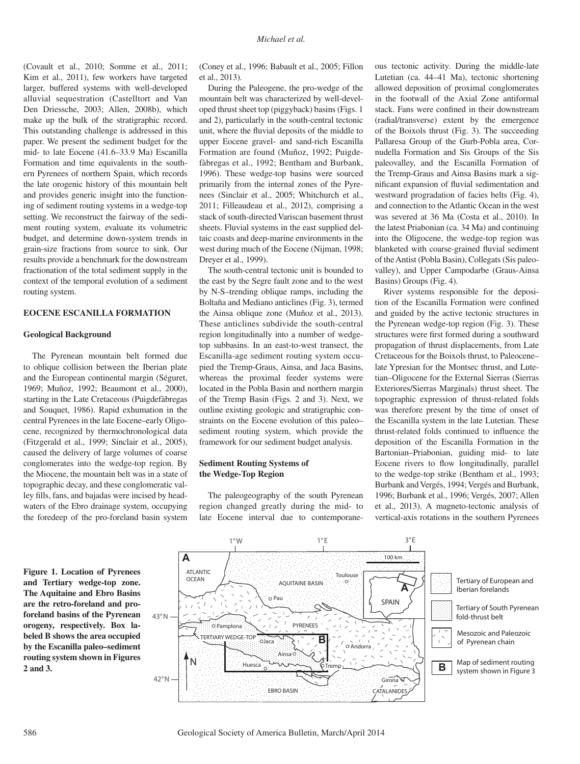(Covault et al., 2010; Somme et al., 2011; Kim et al., 2011), few workers have targeted larger, buffered systems with well-developed alluvial sequestration (Castelltort and Van Den Driessche, 2003; Allen, 2008b), which make up the bulk of the stratigraphic record. This outstanding challenge is addressed in this paper. We present the sediment budget for the mid- to late Eocene (41.6–33.9 Ma) Escanilla Formation and time equivalents in the southern Pyrenees of northern Spain, which records the late orogenic history of this mountain belt and provides generic insight into the functioning of sediment routing systems in a wedge-top setting. We reconstruct the fairway of the sediment routing system, evaluate its volumetric budget, and determine down-system trends in grain-size fractions from source to sink. Our results provide a benchmark for the downstream fractionation of the total sediment supply in the context of the temporal evolution of a sediment routing system.

## **EOCENE ESCANILLA FORMATION**

### **Geological Background**

The Pyrenean mountain belt formed due to oblique collision between the Iberian plate and the European continental margin (Séguret, 1969; Muñoz, 1992; Beaumont et al., 2000), starting in the Late Cretaceous (Puigdefàbregas and Souquet, 1986). Rapid exhumation in the central Pyrenees in the late Eocene–early Oligocene, recognized by thermochronological data (Fitzgerald et al., 1999; Sinclair et al., 2005), caused the delivery of large volumes of coarse conglomerates into the wedge-top region. By the Miocene, the mountain belt was in a state of topographic decay, and these conglomeratic valley fills, fans, and bajadas were incised by headwaters of the Ebro drainage system, occupying the foredeep of the pro-foreland basin system

(Coney et al., 1996; Babault et al., 2005; Fillon et al., 2013).

During the Paleogene, the pro-wedge of the mountain belt was characterized by well-developed thrust sheet top (piggyback) basins (Figs. 1 and 2), particularly in the south-central tectonic unit, where the fluvial deposits of the middle to upper Eocene gravel- and sand-rich Escanilla Formation are found (Muñoz, 1992; Puigdefàbregas et al., 1992; Bentham and Burbank, 1996). These wedge-top basins were sourced primarily from the internal zones of the Pyrenees (Sinclair et al., 2005; Whitchurch et al., 2011; Filleaudeau et al., 2012), comprising a stack of south-directed Variscan basement thrust sheets. Fluvial systems in the east supplied deltaic coasts and deep-marine environments in the west during much of the Eocene (Nijman, 1998; Dreyer et al., 1999).

The south-central tectonic unit is bounded to the east by the Segre fault zone and to the west by N-S–trending oblique ramps, including the Boltaña and Mediano anticlines (Fig. 3), termed the Ainsa oblique zone (Muñoz et al., 2013). These anticlines subdivide the south-central region longitudinally into a number of wedgetop subbasins. In an east-to-west transect, the Escanilla-age sediment routing system occupied the Tremp-Graus, Ainsa, and Jaca Basins, whereas the proximal feeder systems were located in the Pobla Basin and northern margin of the Tremp Basin (Figs. 2 and 3). Next, we outline existing geologic and stratigraphic constraints on the Eocene evolution of this paleo– sediment routing system, which provide the framework for our sediment budget analysis.

## **Sediment Routing Systems of the Wedge-Top Region**

The paleogeography of the south Pyrenean region changed greatly during the mid- to late Eocene interval due to contemporaneous tectonic activity. During the middle-late Lutetian (ca. 44–41 Ma), tectonic shortening allowed deposition of proximal conglomerates in the footwall of the Axial Zone antiformal stack. Fans were confined in their downstream (radial/transverse) extent by the emergence of the Boixols thrust (Fig. 3). The succeeding Pallaresa Group of the Gurb-Pobla area, Cornudella Formation and Sis Groups of the Sis paleovalley, and the Escanilla Formation of the Tremp-Graus and Ainsa Basins mark a significant expansion of fluvial sedimentation and westward progradation of facies belts (Fig. 4), and connection to the Atlantic Ocean in the west was severed at 36 Ma (Costa et al., 2010). In the latest Priabonian (ca. 34 Ma) and continuing into the Oligocene, the wedge-top region was blanketed with coarse-grained fluvial sediment of the Antist (Pobla Basin), Collegats (Sis paleovalley), and Upper Campodarbe (Graus-Ainsa Basins) Groups (Fig. 4).

River systems responsible for the deposition of the Escanilla Formation were confined and guided by the active tectonic structures in the Pyrenean wedge-top region (Fig. 3). These structures were first formed during a southward propagation of thrust displacements, from Late Cretaceous for the Boixols thrust, to Paleocene– late Ypresian for the Montsec thrust, and Lutetian–Oligocene for the External Sierras (Sierras Exteriores/Sierras Marginals) thrust sheet. The topographic expression of thrust-related folds was therefore present by the time of onset of the Escanilla system in the late Lutetian. These thrust-related folds continued to influence the deposition of the Escanilla Formation in the Bartonian–Priabonian, guiding mid- to late Eocene rivers to flow longitudinally, parallel to the wedge-top strike (Bentham et al., 1993; Burbank and Vergés, 1994; Vergés and Burbank, 1996; Burbank et al., 1996; Vergés, 2007; Allen et al., 2013). A magneto-tectonic analysis of vertical-axis rotations in the southern Pyrenees

**Figure 1. Location of Pyrenees and Tertiary wedge-top zone. The Aquitaine and Ebro Basins are the retro-foreland and proforeland basins of the Pyrenean orogeny, respectively. Box labeled B shows the area occupied by the Escanilla paleo–sediment routing system shown in Figures 2 and 3.**



586 Geological Society of America Bulletin, March/April 2014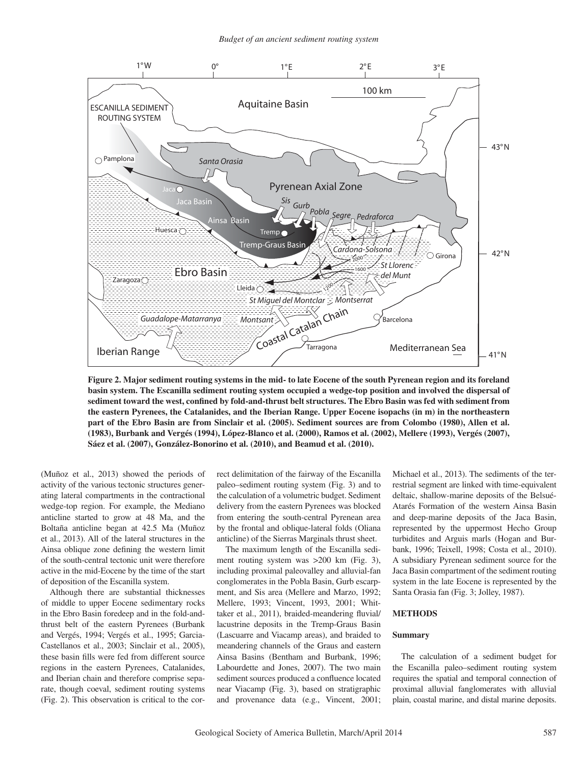

**Figure 2. Major sediment routing systems in the mid- to late Eocene of the south Pyrenean region and its foreland basin system. The Escanilla sediment routing system occupied a wedge-top position and involved the dispersal of**  sediment toward the west, confined by fold-and-thrust belt structures. The Ebro Basin was fed with sediment from **the eastern Pyrenees, the Catalanides, and the Iberian Range. Upper Eocene isopachs (in m) in the northeastern part of the Ebro Basin are from Sinclair et al. (2005). Sediment sources are from Colombo (1980), Allen et al. (1983), Burbank and Vergés (1994), López-Blanco et al. (2000), Ramos et al. (2002), Mellere (1993), Vergés (2007), Sáez et al. (2007), González-Bonorino et al. (2010), and Beamud et al. (2010).**

(Muñoz et al., 2013) showed the periods of activity of the various tectonic structures generating lateral compartments in the contractional wedge-top region. For example, the Mediano anticline started to grow at 48 Ma, and the Boltaña anticline began at 42.5 Ma (Muñoz et al., 2013). All of the lateral structures in the Ainsa oblique zone defining the western limit of the south-central tectonic unit were therefore active in the mid-Eocene by the time of the start of deposition of the Escanilla system.

Although there are substantial thicknesses of middle to upper Eocene sedimentary rocks in the Ebro Basin foredeep and in the fold-andthrust belt of the eastern Pyrenees (Burbank and Vergés, 1994; Vergés et al., 1995; Garcia-Castellanos et al., 2003; Sinclair et al., 2005), these basin fills were fed from different source regions in the eastern Pyrenees, Catalanides, and Iberian chain and therefore comprise separate, though coeval, sediment routing systems (Fig. 2). This observation is critical to the correct delimitation of the fairway of the Escanilla paleo–sediment routing system (Fig. 3) and to the calculation of a volumetric budget. Sediment delivery from the eastern Pyrenees was blocked from entering the south-central Pyrenean area by the frontal and oblique-lateral folds (Oliana anticline) of the Sierras Marginals thrust sheet.

The maximum length of the Escanilla sediment routing system was >200 km (Fig. 3), including proximal paleovalley and alluvial-fan conglomerates in the Pobla Basin, Gurb escarpment, and Sis area (Mellere and Marzo, 1992; Mellere, 1993; Vincent, 1993, 2001; Whittaker et al., 2011), braided-meandering fluvial/ lacustrine deposits in the Tremp-Graus Basin (Lascuarre and Viacamp areas), and braided to meandering channels of the Graus and eastern Ainsa Basins (Bentham and Burbank, 1996; Labourdette and Jones, 2007). The two main sediment sources produced a confluence located near Viacamp (Fig. 3), based on stratigraphic and provenance data (e.g., Vincent, 2001;

Michael et al., 2013). The sediments of the terrestrial segment are linked with time-equivalent deltaic, shallow-marine deposits of the Belsué-Atarés Formation of the western Ainsa Basin and deep-marine deposits of the Jaca Basin, represented by the uppermost Hecho Group turbidites and Arguis marls (Hogan and Burbank, 1996; Teixell, 1998; Costa et al., 2010). A subsidiary Pyrenean sediment source for the Jaca Basin compartment of the sediment routing system in the late Eocene is represented by the Santa Orasia fan (Fig. 3; Jolley, 1987).

#### **METHODS**

### **Summary**

The calculation of a sediment budget for the Escanilla paleo–sediment routing system requires the spatial and temporal connection of proximal alluvial fanglomerates with alluvial plain, coastal marine, and distal marine deposits.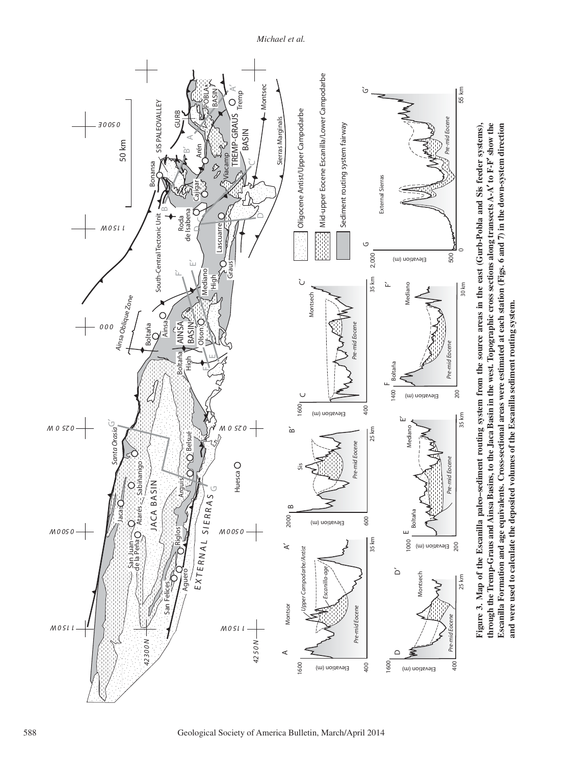

*Michael et al.*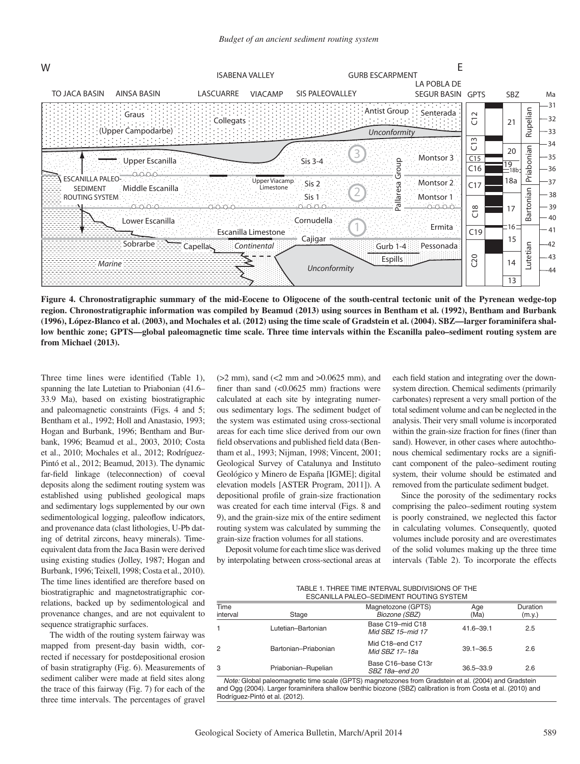

**Figure 4. Chronostratigraphic summary of the mid-Eocene to Oligocene of the south-central tectonic unit of the Pyrenean wedge-top region. Chronostratigraphic information was compiled by Beamud (2013) using sources in Bentham et al. (1992), Bentham and Burbank (1996), López-Blanco et al. (2003), and Mochales et al. (2012) using the time scale of Gradstein et al. (2004). SBZ—larger foraminifera shallow benthic zone; GPTS—global paleomagnetic time scale. Three time intervals within the Escanilla paleo–sediment routing system are from Michael (2013).**

Three time lines were identified (Table 1), spanning the late Lutetian to Priabonian (41.6– 33.9 Ma), based on existing biostratigraphic and paleomagnetic constraints (Figs. 4 and 5; Bentham et al., 1992; Holl and Anastasio, 1993; Hogan and Burbank, 1996; Bentham and Burbank, 1996; Beamud et al., 2003, 2010; Costa et al., 2010; Mochales et al., 2012; Rodríguez-Pintó et al., 2012; Beamud, 2013). The dynamic far-field linkage (teleconnection) of coeval deposits along the sediment routing system was established using published geological maps and sedimentary logs supplemented by our own sedimentological logging, paleoflow indicators, and provenance data (clast lithologies, U-Pb dating of detrital zircons, heavy minerals). Timeequivalent data from the Jaca Basin were derived using existing studies (Jolley, 1987; Hogan and Burbank, 1996; Teixell, 1998; Costa et al., 2010). The time lines identified are therefore based on biostratigraphic and magnetostratigraphic correlations, backed up by sedimentological and provenance changes, and are not equivalent to sequence stratigraphic surfaces.

The width of the routing system fairway was mapped from present-day basin width, corrected if necessary for postdepositional erosion of basin stratigraphy (Fig. 6). Measurements of sediment caliber were made at field sites along the trace of this fairway (Fig. 7) for each of the three time intervals. The percentages of gravel

(>2 mm), sand (<2 mm and >0.0625 mm), and finer than sand  $(<0.0625$  mm) fractions were calculated at each site by integrating numerous sedimentary logs. The sediment budget of the system was estimated using cross-sectional areas for each time slice derived from our own field observations and published field data (Bentham et al., 1993; Nijman, 1998; Vincent, 2001; Geological Survey of Catalunya and Instituto Geológico y Minero de España [IGME]; digital elevation models [ASTER Program, 2011]). A depositional profile of grain-size fractionation was created for each time interval (Figs. 8 and 9), and the grain-size mix of the entire sediment routing system was calculated by summing the grain-size fraction volumes for all stations.

Deposit volume for each time slice was derived by interpolating between cross-sectional areas at each field station and integrating over the downsystem direction. Chemical sediments (primarily carbonates) represent a very small portion of the total sediment volume and can be neglected in the analysis. Their very small volume is incorporated within the grain-size fraction for fines (finer than sand). However, in other cases where autochthonous chemical sedimentary rocks are a significant component of the paleo–sediment routing system, their volume should be estimated and removed from the particulate sediment budget.

Since the porosity of the sedimentary rocks comprising the paleo–sediment routing system is poorly constrained, we neglected this factor in calculating volumes. Consequently, quoted volumes include porosity and are overestimates of the solid volumes making up the three time intervals (Table 2). To incorporate the effects

| TABLE 1. THREE TIME INTERVAL SUBDIVISIONS OF THE |
|--------------------------------------------------|
| ESCANILLA PALEO-SEDIMENT ROUTING SYSTEM          |

| Time     |                      | Magnetozone (GPTS)                    | Age           | Duration |
|----------|----------------------|---------------------------------------|---------------|----------|
| interval | Stage                | Biozone (SBZ)                         | (Ma)          | (m.y.)   |
|          | Lutetian-Bartonian   | Base C19-mid C18<br>Mid SBZ 15-mid 17 | $41.6 - 39.1$ | 2.5      |
| 2        | Bartonian-Priabonian | Mid C18-end C17<br>Mid SBZ 17–18a     | $39.1 - 36.5$ | 2.6      |
| 3        | Priabonian-Rupelian  | Base C16-base C13r<br>SBZ 18a-end 20  | $36.5 - 33.9$ | 2.6      |

*Note:* Global paleomagnetic time scale (GPTS) magnetozones from Gradstein et al. (2004) and Gradstein and Ogg (2004). Larger foraminifera shallow benthic biozone (SBZ) calibration is from Costa et al. (2010) and Rodríguez-Pintó et al. (2012).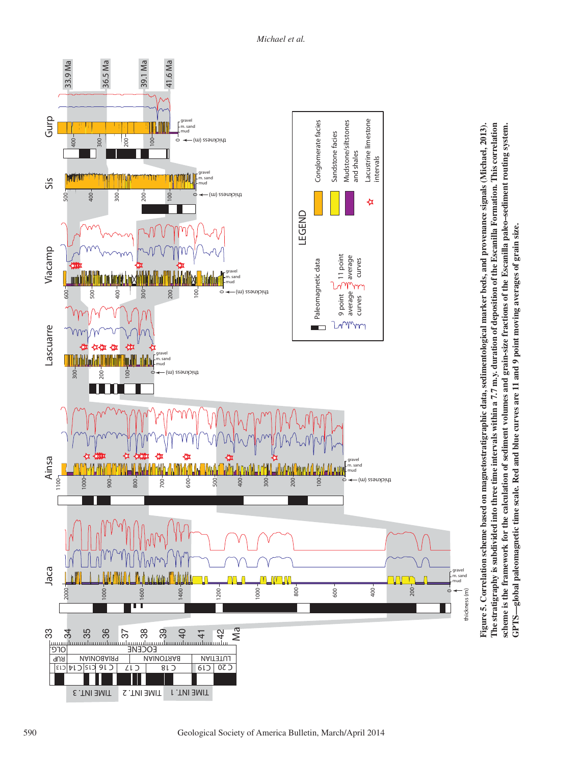

**Figure 5. Correlation scheme based on magnetostratigraphic data, sedimentological marker beds, and provenance signals (Michael, 2013). The stratigraphy is subdivided into three time intervals within a 7.7 m.y. duration of deposition of the Escanilla Formation. This correlation scheme is the framework for the calculation of sediment volumes and grain-size fractions of the Escanilla paleo–sediment routing system.**  Figure 5. Correlation scheme based on magnetostratigraphic data, sedimentological marker beds, and provenance signals (Michael, 2013). The stratigraphy is subdivided into three time intervals within a 7.7 m.y. duration of deposition of the Escanilla Formation. This correlation scheme is the framework for the calculation of sediment volumes and grain-size fractions of the Escanilla paleo-sediment routing system. GPTS-global paleomagnetic time scale. Red and blue curves are 11 and 9 point moving averages of grain size. **GPTS—global paleomagnetic time scale. Red and blue curves are 11 and 9 point moving averages of grain size.**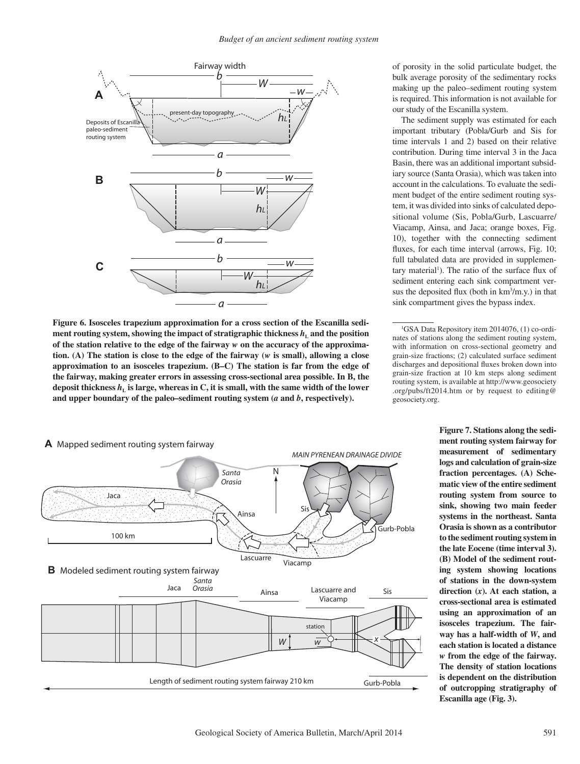

**Figure 6. Isosceles trapezium approximation for a cross section of the Escanilla sediment routing system, showing the impact of stratigraphic thickness**  $h_i$  **and the position of the station relative to the edge of the fairway** *w* **on the accuracy of the approximation. (A) The station is close to the edge of the fairway (***w* **is small), allowing a close approximation to an isosceles trapezium. (B–C) The station is far from the edge of the fairway, making greater errors in assessing cross-sectional area possible. In B, the deposit thickness** *h***L is large, whereas in C, it is small, with the same width of the lower and upper boundary of the paleo–sediment routing system (***a* **and** *b***, respectively).**



of porosity in the solid particulate budget, the bulk average porosity of the sedimentary rocks making up the paleo–sediment routing system is required. This information is not available for our study of the Escanilla system.

The sediment supply was estimated for each important tributary (Pobla/Gurb and Sis for time intervals 1 and 2) based on their relative contribution. During time interval 3 in the Jaca Basin, there was an additional important subsidiary source (Santa Orasia), which was taken into account in the calculations. To evaluate the sediment budget of the entire sediment routing system, it was divided into sinks of calculated depositional volume (Sis, Pobla/Gurb, Lascuarre/ Viacamp, Ainsa, and Jaca; orange boxes, Fig. 10), together with the connecting sediment fluxes, for each time interval (arrows, Fig. 10; full tabulated data are provided in supplementary material<sup>1</sup>). The ratio of the surface flux of sediment entering each sink compartment versus the deposited flux (both in  $km<sup>3</sup>/m.y$ .) in that sink compartment gives the bypass index.

**Figure 7. Stations along the sediment routing system fairway for measurement of sedimentary logs and calculation of grain-size fraction percentages. (A) Schematic view of the entire sediment routing system from source to sink, showing two main feeder systems in the northeast. Santa Orasia is shown as a contributor to the sediment routing system in the late Eocene (time interval 3). (B) Model of the sediment routing system showing locations of stations in the down-system direction (***x***). At each station, a cross-sectional area is estimated using an approximation of an isosceles trapezium. The fairway has a half-width of** *W***, and each station is located a distance**  *w* **from the edge of the fairway. The density of station locations is dependent on the distribution of outcropping stratigraphy of Escanilla age (Fig. 3).**

<sup>1</sup> GSA Data Repository item 2014076, (1) co-ordinates of stations along the sediment routing system, with information on cross-sectional geometry and grain-size fractions; (2) calculated surface sediment discharges and depositional fluxes broken down into grain-size fraction at 10 km steps along sediment routing system, is available at http://www.geosociety .org /pubs /ft2014 .htm or by request to editing@ geosociety .org.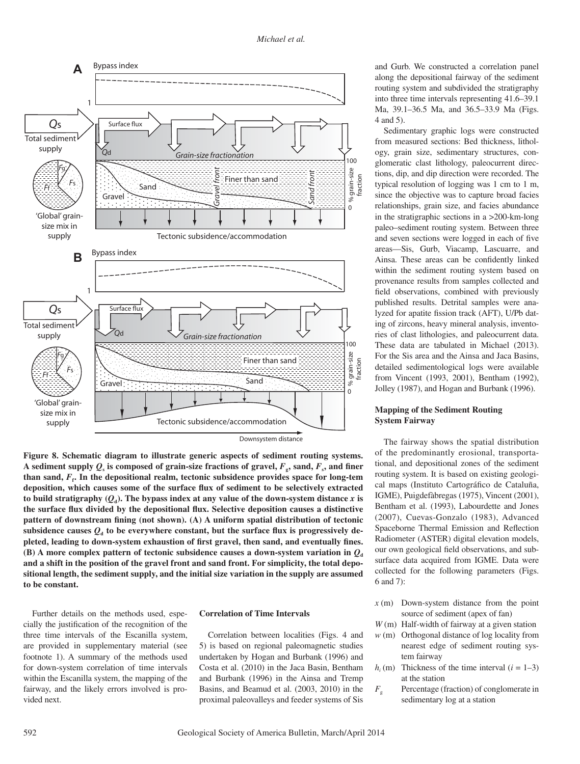

**Figure 8. Schematic diagram to illustrate generic aspects of sediment routing systems.**  A sediment supply  $Q_s$  is composed of grain-size fractions of gravel,  $F_s$ , sand,  $F_s$ , and finer than sand,  $F_f$ . In the depositional realm, tectonic subsidence provides space for long-tem deposition, which causes some of the surface flux of sediment to be selectively extracted to build stratigraphy  $(Q_d)$ . The bypass index at any value of the down-system distance  $x$  is the surface flux divided by the depositional flux. Selective deposition causes a distinctive pattern of downstream fining (not shown). (A) A uniform spatial distribution of tectonic subsidence causes  $Q_d$  to be everywhere constant, but the surface flux is progressively depleted, leading to down-system exhaustion of first gravel, then sand, and eventually fines. **(B)** A more complex pattern of tectonic subsidence causes a down-system variation in  $Q_d$ **and a shift in the position of the gravel front and sand front. For simplicity, the total depositional length, the sediment supply, and the initial size variation in the supply are assumed to be constant.**

Further details on the methods used, especially the justification of the recognition of the three time intervals of the Escanilla system, are provided in supplementary material (see footnote 1). A summary of the methods used for down-system correlation of time intervals within the Escanilla system, the mapping of the fairway, and the likely errors involved is provided next.

### **Correlation of Time Intervals**

Correlation between localities (Figs. 4 and 5) is based on regional paleomagnetic studies undertaken by Hogan and Burbank (1996) and Costa et al. (2010) in the Jaca Basin, Bentham and Burbank (1996) in the Ainsa and Tremp Basins, and Beamud et al. (2003, 2010) in the proximal paleovalleys and feeder systems of Sis and Gurb. We constructed a correlation panel along the depositional fairway of the sediment routing system and subdivided the stratigraphy into three time intervals representing 41.6–39.1 Ma, 39.1–36.5 Ma, and 36.5–33.9 Ma (Figs. 4 and 5).

Sedimentary graphic logs were constructed from measured sections: Bed thickness, lithology, grain size, sedimentary structures, conglomeratic clast lithology, paleocurrent directions, dip, and dip direction were recorded. The typical resolution of logging was 1 cm to 1 m, since the objective was to capture broad facies relationships, grain size, and facies abundance in the stratigraphic sections in a >200-km-long paleo–sediment routing system. Between three and seven sections were logged in each of five areas—Sis, Gurb, Viacamp, Lascuarre, and Ainsa. These areas can be confidently linked within the sediment routing system based on provenance results from samples collected and field observations, combined with previously published results. Detrital samples were analyzed for apatite fission track (AFT), U/Pb dating of zircons, heavy mineral analysis, inventories of clast lithologies, and paleocurrent data. These data are tabulated in Michael (2013). For the Sis area and the Ainsa and Jaca Basins, detailed sedimentological logs were available from Vincent (1993, 2001), Bentham (1992), Jolley (1987), and Hogan and Burbank (1996).

## **Mapping of the Sediment Routing System Fairway**

The fairway shows the spatial distribution of the predominantly erosional, transportational, and depositional zones of the sediment routing system. It is based on existing geological maps (Instituto Cartográfico de Cataluña, IGME), Puigdefàbregas (1975), Vincent (2001), Bentham et al. (1993), Labourdette and Jones (2007), Cuevas-Gonzalo (1983), Advanced Spaceborne Thermal Emission and Reflection Radiometer (ASTER) digital elevation models, our own geological field observations, and subsurface data acquired from IGME. Data were collected for the following parameters (Figs. 6 and 7):

- *x* (m) Down-system distance from the point source of sediment (apex of fan)
- *W* (m) Half-width of fairway at a given station
- *w* (m) Orthogonal distance of log locality from nearest edge of sediment routing system fairway
- $h_i$ (m) Thickness of the time interval ( $i = 1-3$ ) at the station
- *F<sub>g</sub>* Percentage (fraction) of conglomerate in sedimentary log at a station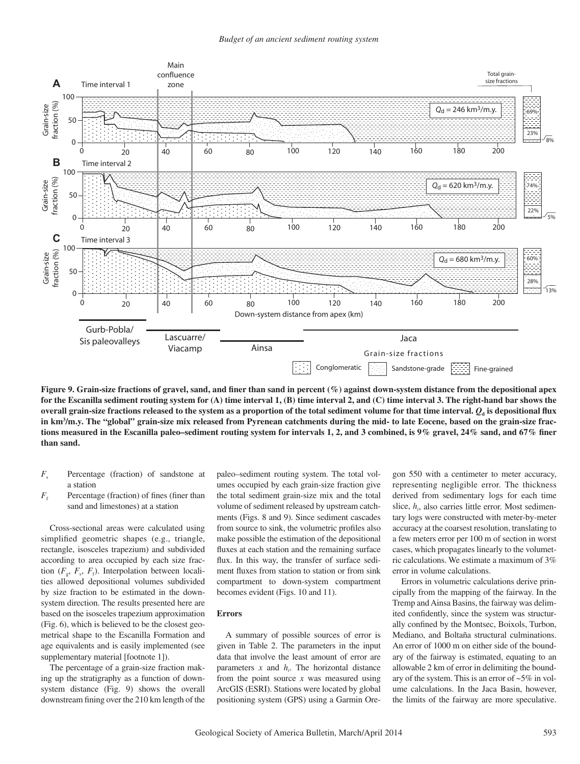

Figure 9. Grain-size fractions of gravel, sand, and finer than sand in percent (%) against down-system distance from the depositional apex **for the Escanilla sediment routing system for (A) time interval 1, (B) time interval 2, and (C) time interval 3. The right-hand bar shows the**  overall grain-size fractions released to the system as a proportion of the total sediment volume for that time interval.  $Q_d$  is depositional flux **in km3 /m.y. The "global" grain-size mix released from Pyrenean catchments during the mid- to late Eocene, based on the grain-size frac**tions measured in the Escanilla paleo–sediment routing system for intervals 1, 2, and 3 combined, is 9% gravel, 24% sand, and 67% finer **than sand.**

- $F<sub>s</sub>$  Percentage (fraction) of sandstone at a station
- $F<sub>f</sub>$ Percentage (fraction) of fines (finer than sand and limestones) at a station

Cross-sectional areas were calculated using simplified geometric shapes (e.g., triangle, rectangle, isosceles trapezium) and subdivided according to area occupied by each size fraction  $(F_g, F_s, F_f)$ . Interpolation between localities allowed depositional volumes subdivided by size fraction to be estimated in the downsystem direction. The results presented here are based on the isosceles trapezium approximation (Fig. 6), which is believed to be the closest geometrical shape to the Escanilla Formation and age equivalents and is easily implemented (see supplementary material [footnote 1]).

The percentage of a grain-size fraction making up the stratigraphy as a function of downsystem distance (Fig. 9) shows the overall downstream fining over the 210 km length of the

paleo–sediment routing system. The total volumes occupied by each grain-size fraction give the total sediment grain-size mix and the total volume of sediment released by upstream catchments (Figs. 8 and 9). Since sediment cascades from source to sink, the volumetric profiles also make possible the estimation of the depositional fluxes at each station and the remaining surface flux. In this way, the transfer of surface sediment fluxes from station to station or from sink compartment to down-system compartment becomes evident (Figs. 10 and 11).

## **Errors**

A summary of possible sources of error is given in Table 2. The parameters in the input data that involve the least amount of error are parameters  $x$  and  $h_i$ . The horizontal distance from the point source *x* was measured using ArcGIS (ESRI). Stations were located by global positioning system (GPS) using a Garmin Oregon 550 with a centimeter to meter accuracy, representing negligible error. The thickness derived from sedimentary logs for each time slice,  $h_i$ , also carries little error. Most sedimentary logs were constructed with meter-by-meter accuracy at the coarsest resolution, translating to a few meters error per 100 m of section in worst cases, which propagates linearly to the volumetric calculations. We estimate a maximum of 3% error in volume calculations.

Errors in volumetric calculations derive principally from the mapping of the fairway. In the Tremp and Ainsa Basins, the fairway was delimited confidently, since the system was structurally confined by the Montsec, Boixols, Turbon, Mediano, and Boltaña structural culminations. An error of 1000 m on either side of the boundary of the fairway is estimated, equating to an allowable 2 km of error in delimiting the boundary of the system. This is an error of ~5% in volume calculations. In the Jaca Basin, however, the limits of the fairway are more speculative.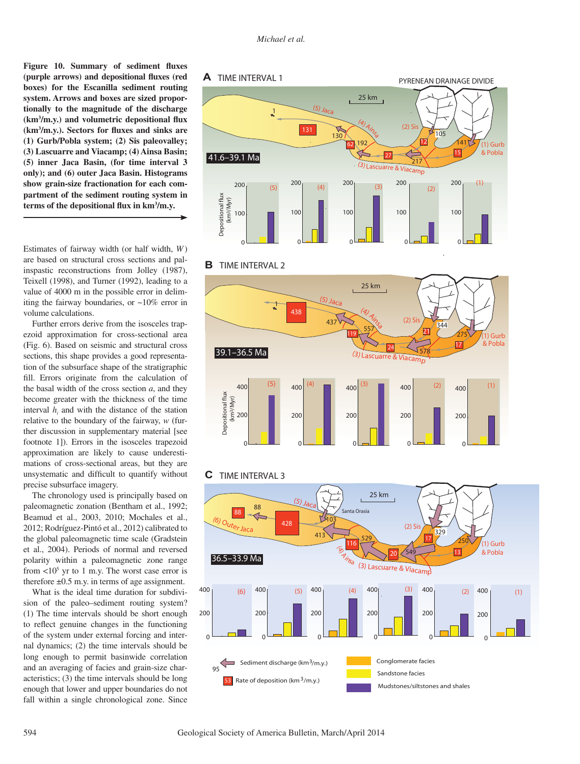Figure 10. Summary of sediment fluxes (purple arrows) and depositional fluxes (red **boxes) for the Escanilla sediment routing system. Arrows and boxes are sized proportionally to the magnitude of the discharge**  (km<sup>3</sup>/m.y.) and volumetric depositional flux (km<sup>3</sup>/m.y.). Sectors for fluxes and sinks are **(1) Gurb/Pobla system; (2) Sis paleovalley; (3) Lascuarre and Viacamp; (4) Ainsa Basin; (5) inner Jaca Basin, (for time interval 3 only); and (6) outer Jaca Basin. Histograms show grain-size fractionation for each compartment of the sediment routing system in**  terms of the depositional flux in km<sup>3</sup>/m.y.

Estimates of fairway width (or half width, *W* ) are based on structural cross sections and palinspastic reconstructions from Jolley (1987), Teixell (1998), and Turner (1992), leading to a value of 4000 m in the possible error in delimiting the fairway boundaries, or ~10% error in volume calculations.

Further errors derive from the isosceles trapezoid approximation for cross-sectional area (Fig. 6). Based on seismic and structural cross sections, this shape provides a good representation of the subsurface shape of the stratigraphic fill. Errors originate from the calculation of the basal width of the cross section *a*, and they become greater with the thickness of the time interval  $h_i$  and with the distance of the station relative to the boundary of the fairway, *w* (further discussion in supplementary material [see footnote 1]). Errors in the isosceles trapezoid approximation are likely to cause underestimations of cross-sectional areas, but they are unsystematic and difficult to quantify without precise subsurface imagery.

The chronology used is principally based on paleomagnetic zonation (Bentham et al., 1992; Beamud et al., 2003, 2010; Mochales et al., 2012; Rodríguez-Pintó et al., 2012) calibrated to the global paleomagnetic time scale (Gradstein et al., 2004). Periods of normal and reversed polarity within a paleomagnetic zone range from  $<$ 10<sup>5</sup> yr to 1 m.y. The worst case error is therefore  $\pm 0.5$  m.y. in terms of age assignment.

What is the ideal time duration for subdivision of the paleo–sediment routing system? (1) The time intervals should be short enough to reflect genuine changes in the functioning of the system under external forcing and internal dynamics; (2) the time intervals should be long enough to permit basinwide correlation and an averaging of facies and grain-size characteristics; (3) the time intervals should be long enough that lower and upper boundaries do not fall within a single chronological zone. Since





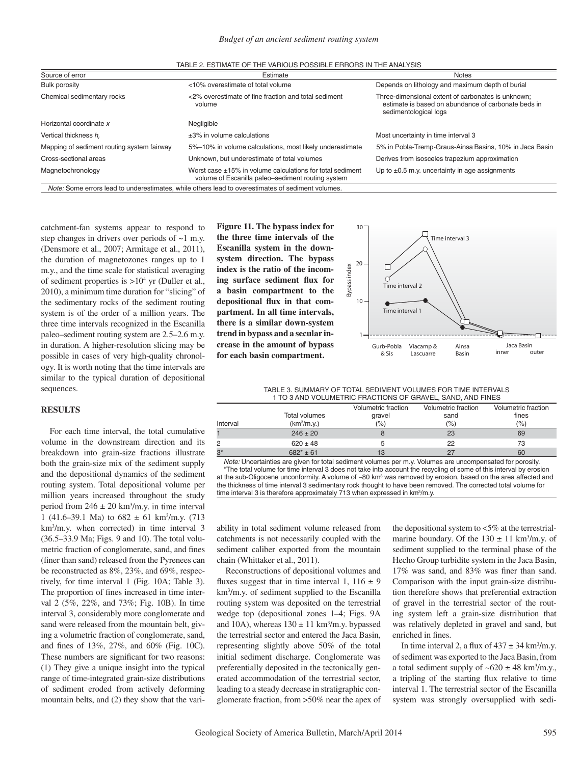| Source of error                            | Estimate                                                                                                            | <b>Notes</b>                                                                                                                       |  |
|--------------------------------------------|---------------------------------------------------------------------------------------------------------------------|------------------------------------------------------------------------------------------------------------------------------------|--|
| <b>Bulk porosity</b>                       | <10% overestimate of total volume                                                                                   | Depends on lithology and maximum depth of burial                                                                                   |  |
| Chemical sedimentary rocks                 | <2% overestimate of fine fraction and total sediment<br>volume                                                      | Three-dimensional extent of carbonates is unknown;<br>estimate is based on abundance of carbonate beds in<br>sedimentological logs |  |
| Horizontal coordinate x                    | Negligible                                                                                                          |                                                                                                                                    |  |
| Vertical thickness h                       | $\pm 3\%$ in volume calculations                                                                                    | Most uncertainty in time interval 3                                                                                                |  |
| Mapping of sediment routing system fairway | 5%-10% in volume calculations, most likely underestimate                                                            | 5% in Pobla-Tremp-Graus-Ainsa Basins, 10% in Jaca Basin                                                                            |  |
| Cross-sectional areas                      | Unknown, but underestimate of total volumes                                                                         | Derives from isosceles trapezium approximation                                                                                     |  |
| Magnetochronology                          | Worst case $\pm$ 15% in volume calculations for total sediment<br>volume of Escanilla paleo-sediment routing system | Up to $\pm 0.5$ m.y. uncertainty in age assignments                                                                                |  |
|                                            | Note: Some errors lead to underestimates, while others lead to overestimates of sediment volumes.                   |                                                                                                                                    |  |

catchment-fan systems appear to respond to step changes in drivers over periods of ~1 m.y. (Densmore et al., 2007; Armitage et al., 2011), the duration of magnetozones ranges up to 1 m.y., and the time scale for statistical averaging of sediment properties is  $>10<sup>4</sup>$  yr (Duller et al., 2010), a minimum time duration for "slicing" of the sedimentary rocks of the sediment routing system is of the order of a million years. The three time intervals recognized in the Escanilla paleo–sediment routing system are 2.5–2.6 m.y. in duration. A higher-resolution slicing may be possible in cases of very high-quality chronology. It is worth noting that the time intervals are similar to the typical duration of depositional sequences.

#### **RESULTS**

For each time interval, the total cumulative volume in the downstream direction and its breakdown into grain-size fractions illustrate both the grain-size mix of the sediment supply and the depositional dynamics of the sediment routing system. Total depositional volume per million years increased throughout the study period from  $246 \pm 20$  km<sup>3</sup>/m.y. in time interval 1 (41.6–39.1 Ma) to  $682 \pm 61$  km<sup>3</sup>/m.y. (713) km3 /m.y. when corrected) in time interval 3 (36.5–33.9 Ma; Figs. 9 and 10). The total volumetric fraction of conglomerate, sand, and fines (finer than sand) released from the Pyrenees can be reconstructed as 8%, 23%, and 69%, respectively, for time interval 1 (Fig. 10A; Table 3). The proportion of fines increased in time interval 2 (5%, 22%, and 73%; Fig. 10B). In time interval 3, considerably more conglomerate and sand were released from the mountain belt, giving a volumetric fraction of conglomerate, sand, and fines of 13%, 27%, and 60% (Fig. 10C). These numbers are significant for two reasons: (1) They give a unique insight into the typical range of time-integrated grain-size distributions of sediment eroded from actively deforming mountain belts, and (2) they show that the vari**Figure 11. The bypass index for the three time intervals of the Escanilla system in the downsystem direction. The bypass index is the ratio of the incom**ing surface sediment flux for **a basin compartment to the**  depositional flux in that com**partment. In all time intervals, there is a similar down-system trend in bypass and a secular increase in the amount of bypass for each basin compartment.**



| TABLE 3. SUMMARY OF TOTAL SEDIMENT VOLUMES FOR TIME INTERVALS |  |
|---------------------------------------------------------------|--|
| 1 TO 3 AND VOLUMETRIC FRACTIONS OF GRAVEL. SAND, AND FINES    |  |

|          |                         | Volumetric fraction | Volumetric fraction | Volumetric fraction |
|----------|-------------------------|---------------------|---------------------|---------------------|
|          | <b>Total volumes</b>    | gravel              | sand                | fines               |
| Interval | (km <sup>3</sup> /m.v.) | (%)                 | $(\% )$             | (%)                 |
|          | $246 \pm 20$            |                     | 23                  | 69                  |
|          | $620 \pm 48$            |                     | 22                  | 73                  |
| $3*$     | $682* \pm 61$           |                     | 27                  | 60                  |

*Note:* Uncertainties are given for total sediment volumes per m.y. Volumes are uncompensated for porosity. \*The total volume for time interval 3 does not take into account the recycling of some of this interval by erosion at the sub-Oligocene unconformity. A volume of ~80 km<sup>3</sup> was removed by erosion, based on the area affected and the thickness of time interval 3 sedimentary rock thought to have been removed. The corrected total volume for time interval 3 is therefore approximately 713 when expressed in km<sup>3</sup>/m.y.

ability in total sediment volume released from catchments is not necessarily coupled with the sediment caliber exported from the mountain chain (Whittaker et al., 2011).

Reconstructions of depositional volumes and fluxes suggest that in time interval 1,  $116 \pm 9$ km3 /m.y. of sediment supplied to the Escanilla routing system was deposited on the terrestrial wedge top (depositional zones 1–4; Figs. 9A and 10A), whereas  $130 \pm 11$  km<sup>3</sup>/m.y. bypassed the terrestrial sector and entered the Jaca Basin, representing slightly above 50% of the total initial sediment discharge. Conglomerate was preferentially deposited in the tectonically generated accommodation of the terrestrial sector, leading to a steady decrease in stratigraphic conglomerate fraction, from >50% near the apex of

the depositional system to <5% at the terrestrialmarine boundary. Of the  $130 \pm 11$  km<sup>3</sup>/m.y. of sediment supplied to the terminal phase of the Hecho Group turbidite system in the Jaca Basin,  $17\%$  was sand, and  $83\%$  was finer than sand. Comparison with the input grain-size distribution therefore shows that preferential extraction of gravel in the terrestrial sector of the routing system left a grain-size distribution that was relatively depleted in gravel and sand, but enriched in fines.

In time interval 2, a flux of  $437 \pm 34$  km<sup>3</sup>/m.y. of sediment was exported to the Jaca Basin, from a total sediment supply of  $\sim 620 \pm 48$  km<sup>3</sup>/m.y., a tripling of the starting flux relative to time interval 1. The terrestrial sector of the Escanilla system was strongly oversupplied with sedi-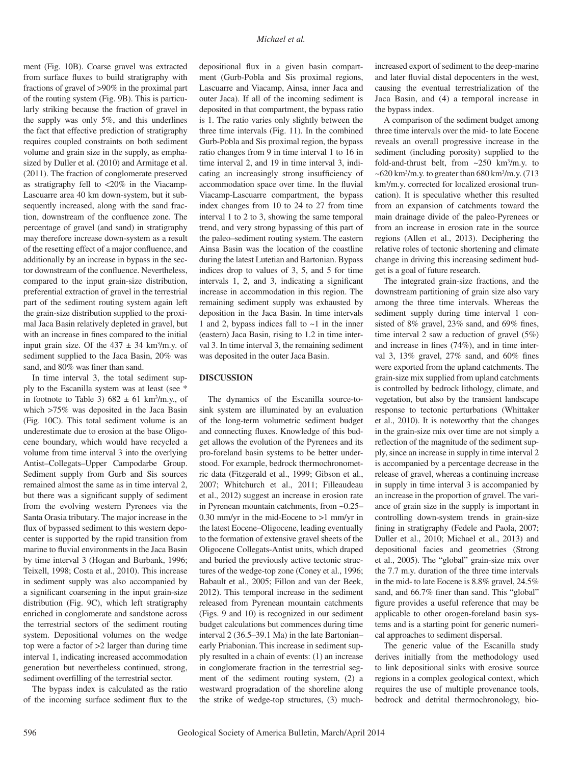ment (Fig. 10B). Coarse gravel was extracted from surface fluxes to build stratigraphy with fractions of gravel of >90% in the proximal part of the routing system (Fig. 9B). This is particularly striking because the fraction of gravel in the supply was only 5%, and this underlines the fact that effective prediction of stratigraphy requires coupled constraints on both sediment volume and grain size in the supply, as emphasized by Duller et al. (2010) and Armitage et al. (2011). The fraction of conglomerate preserved as stratigraphy fell to <20% in the Viacamp-Lascuarre area 40 km down-system, but it subsequently increased, along with the sand fraction, downstream of the confluence zone. The percentage of gravel (and sand) in stratigraphy may therefore increase down-system as a result of the resetting effect of a major confluence, and additionally by an increase in bypass in the sector downstream of the confluence. Nevertheless, compared to the input grain-size distribution, preferential extraction of gravel in the terrestrial part of the sediment routing system again left the grain-size distribution supplied to the proximal Jaca Basin relatively depleted in gravel, but with an increase in fines compared to the initial input grain size. Of the  $437 \pm 34$  km<sup>3</sup>/m.y. of sediment supplied to the Jaca Basin, 20% was sand, and 80% was finer than sand.

In time interval 3, the total sediment supply to the Escanilla system was at least (see \* in footnote to Table 3)  $682 \pm 61$  km<sup>3</sup>/m.y., of which >75% was deposited in the Jaca Basin (Fig. 10C). This total sediment volume is an underestimate due to erosion at the base Oligocene boundary, which would have recycled a volume from time interval 3 into the overlying Antist–Collegats–Upper Campodarbe Group. Sediment supply from Gurb and Sis sources remained almost the same as in time interval 2, but there was a significant supply of sediment from the evolving western Pyrenees via the Santa Orasia tributary. The major increase in the flux of bypassed sediment to this western depocenter is supported by the rapid transition from marine to fluvial environments in the Jaca Basin by time interval 3 (Hogan and Burbank, 1996; Teixell, 1998; Costa et al., 2010). This increase in sediment supply was also accompanied by a significant coarsening in the input grain-size distribution (Fig. 9C), which left stratigraphy enriched in conglomerate and sandstone across the terrestrial sectors of the sediment routing system. Depositional volumes on the wedge top were a factor of >2 larger than during time interval 1, indicating increased accommodation generation but nevertheless continued, strong, sediment overfilling of the terrestrial sector.

The bypass index is calculated as the ratio of the incoming surface sediment flux to the

depositional flux in a given basin compartment (Gurb-Pobla and Sis proximal regions, Lascuarre and Viacamp, Ainsa, inner Jaca and outer Jaca). If all of the incoming sediment is deposited in that compartment, the bypass ratio is 1. The ratio varies only slightly between the three time intervals (Fig. 11). In the combined Gurb-Pobla and Sis proximal region, the bypass ratio changes from 9 in time interval 1 to 16 in time interval 2, and 19 in time interval 3, indicating an increasingly strong insufficiency of accommodation space over time. In the fluvial Viacamp-Lascuarre compartment, the bypass index changes from 10 to 24 to 27 from time interval 1 to 2 to 3, showing the same temporal trend, and very strong bypassing of this part of the paleo–sediment routing system. The eastern Ainsa Basin was the location of the coastline during the latest Lutetian and Bartonian. Bypass indices drop to values of 3, 5, and 5 for time  $intervals 1, 2, and 3, indicating a significant$ increase in accommodation in this region. The remaining sediment supply was exhausted by deposition in the Jaca Basin. In time intervals 1 and 2, bypass indices fall to  $\sim$ 1 in the inner (eastern) Jaca Basin, rising to 1.2 in time interval 3. In time interval 3, the remaining sediment was deposited in the outer Jaca Basin.

## **DISCUSSION**

The dynamics of the Escanilla source-tosink system are illuminated by an evaluation of the long-term volumetric sediment budget and connecting fluxes. Knowledge of this budget allows the evolution of the Pyrenees and its pro-foreland basin systems to be better understood. For example, bedrock thermochronometric data (Fitzgerald et al., 1999; Gibson et al., 2007; Whitchurch et al., 2011; Filleaudeau et al., 2012) suggest an increase in erosion rate in Pyrenean mountain catchments, from ~0.25– 0.30 mm/yr in the mid-Eocene to >1 mm/yr in the latest Eocene–Oligocene, leading eventually to the formation of extensive gravel sheets of the Oligocene Collegats-Antist units, which draped and buried the previously active tectonic structures of the wedge-top zone (Coney et al., 1996; Babault et al., 2005; Fillon and van der Beek, 2012). This temporal increase in the sediment released from Pyrenean mountain catchments (Figs. 9 and 10) is recognized in our sediment budget calculations but commences during time interval 2 (36.5–39.1 Ma) in the late Bartonian– early Priabonian. This increase in sediment supply resulted in a chain of events: (1) an increase in conglomerate fraction in the terrestrial segment of the sediment routing system, (2) a westward progradation of the shoreline along the strike of wedge-top structures, (3) much-

increased export of sediment to the deep-marine and later fluvial distal depocenters in the west, causing the eventual terrestrialization of the Jaca Basin, and (4) a temporal increase in the bypass index.

A comparison of the sediment budget among three time intervals over the mid- to late Eocene reveals an overall progressive increase in the sediment (including porosity) supplied to the fold-and-thrust belt, from  $\sim$ 250 km<sup>3</sup>/m.y. to  $\sim$  620 km<sup>3</sup>/m.y. to greater than 680 km<sup>3</sup>/m.y. (713) km3 /m.y. corrected for localized erosional truncation). It is speculative whether this resulted from an expansion of catchments toward the main drainage divide of the paleo-Pyrenees or from an increase in erosion rate in the source regions (Allen et al., 2013). Deciphering the relative roles of tectonic shortening and climate change in driving this increasing sediment budget is a goal of future research.

The integrated grain-size fractions, and the downstream partitioning of grain size also vary among the three time intervals. Whereas the sediment supply during time interval 1 consisted of 8% gravel,  $23\%$  sand, and 69% fines, time interval 2 saw a reduction of gravel (5%) and increase in fines  $(74\%)$ , and in time interval 3, 13% gravel,  $27\%$  sand, and  $60\%$  fines were exported from the upland catchments. The grain-size mix supplied from upland catchments is controlled by bedrock lithology, climate, and vegetation, but also by the transient landscape response to tectonic perturbations (Whittaker et al., 2010). It is noteworthy that the changes in the grain-size mix over time are not simply a reflection of the magnitude of the sediment supply, since an increase in supply in time interval 2 is accompanied by a percentage decrease in the release of gravel, whereas a continuing increase in supply in time interval 3 is accompanied by an increase in the proportion of gravel. The variance of grain size in the supply is important in controlling down-system trends in grain-size fining in stratigraphy (Fedele and Paola, 2007; Duller et al., 2010; Michael et al., 2013) and depositional facies and geometries (Strong et al., 2005). The "global" grain-size mix over the 7.7 m.y. duration of the three time intervals in the mid- to late Eocene is 8.8% gravel, 24.5% sand, and 66.7% finer than sand. This "global" figure provides a useful reference that may be applicable to other orogen-foreland basin systems and is a starting point for generic numerical approaches to sediment dispersal.

The generic value of the Escanilla study derives initially from the methodology used to link depositional sinks with erosive source regions in a complex geological context, which requires the use of multiple provenance tools, bedrock and detrital thermochronology, bio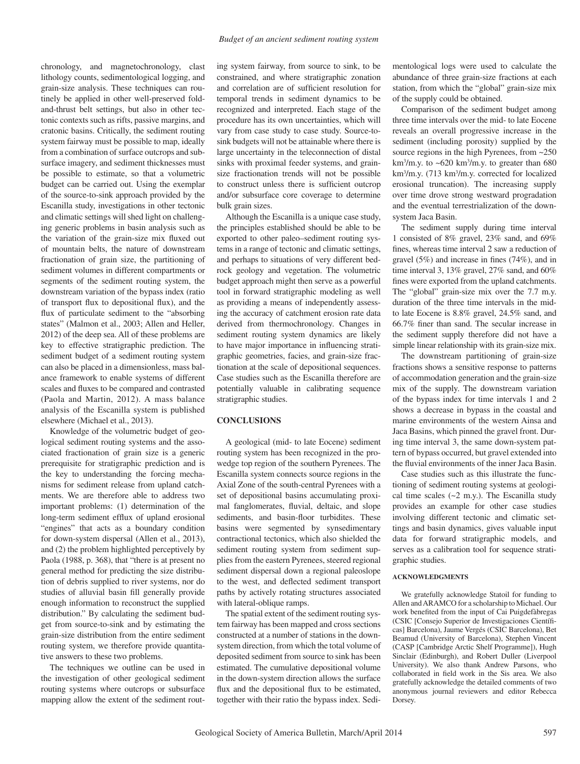chronology, and magnetochronology, clast lithology counts, sedimentological logging, and grain-size analysis. These techniques can routinely be applied in other well-preserved foldand-thrust belt settings, but also in other tectonic contexts such as rifts, passive margins, and cratonic basins. Critically, the sediment routing system fairway must be possible to map, ideally from a combination of surface outcrops and subsurface imagery, and sediment thicknesses must be possible to estimate, so that a volumetric budget can be carried out. Using the exemplar of the source-to-sink approach provided by the Escanilla study, investigations in other tectonic and climatic settings will shed light on challenging generic problems in basin analysis such as the variation of the grain-size mix fluxed out of mountain belts, the nature of downstream fractionation of grain size, the partitioning of sediment volumes in different compartments or segments of the sediment routing system, the downstream variation of the bypass index (ratio of transport flux to depositional flux), and the flux of particulate sediment to the "absorbing" states" (Malmon et al., 2003; Allen and Heller, 2012) of the deep sea. All of these problems are key to effective stratigraphic prediction. The sediment budget of a sediment routing system can also be placed in a dimensionless, mass balance framework to enable systems of different scales and fluxes to be compared and contrasted (Paola and Martin, 2012). A mass balance analy sis of the Escanilla system is published elsewhere (Michael et al., 2013).

Knowledge of the volumetric budget of geological sediment routing systems and the associated fractionation of grain size is a generic prerequisite for stratigraphic prediction and is the key to understanding the forcing mechanisms for sediment release from upland catchments. We are therefore able to address two important problems: (1) determination of the long-term sediment efflux of upland erosional "engines" that acts as a boundary condition for down-system dispersal (Allen et al., 2013), and (2) the problem highlighted perceptively by Paola (1988, p. 368), that "there is at present no general method for predicting the size distribution of debris supplied to river systems, nor do studies of alluvial basin fill generally provide enough information to reconstruct the supplied distribution." By calculating the sediment budget from source-to-sink and by estimating the grain-size distribution from the entire sediment routing system, we therefore provide quantitative answers to these two problems.

The techniques we outline can be used in the investigation of other geological sediment routing systems where outcrops or subsurface mapping allow the extent of the sediment routing system fairway, from source to sink, to be constrained, and where stratigraphic zonation and correlation are of sufficient resolution for temporal trends in sediment dynamics to be recognized and interpreted. Each stage of the procedure has its own uncertainties, which will vary from case study to case study. Source-tosink budgets will not be attainable where there is large uncertainty in the teleconnection of distal sinks with proximal feeder systems, and grainsize fractionation trends will not be possible to construct unless there is sufficient outcrop and/or subsurface core coverage to determine bulk grain sizes.

Although the Escanilla is a unique case study, the principles established should be able to be exported to other paleo–sediment routing systems in a range of tectonic and climatic settings, and perhaps to situations of very different bedrock geology and vegetation. The volumetric budget approach might then serve as a powerful tool in forward stratigraphic modeling as well as providing a means of independently assessing the accuracy of catchment erosion rate data derived from thermochronology. Changes in sediment routing system dynamics are likely to have major importance in influencing stratigraphic geometries, facies, and grain-size fractionation at the scale of depositional sequences. Case studies such as the Escanilla therefore are potentially valuable in calibrating sequence stratigraphic studies.

## **CONCLUSIONS**

A geological (mid- to late Eocene) sediment routing system has been recognized in the prowedge top region of the southern Pyrenees. The Escanilla system connects source regions in the Axial Zone of the south-central Pyrenees with a set of depositional basins accumulating proximal fanglomerates, fluvial, deltaic, and slope sediments, and basin-floor turbidites. These basins were segmented by synsedimentary contractional tectonics, which also shielded the sediment routing system from sediment supplies from the eastern Pyrenees, steered regional sediment dispersal down a regional paleoslope to the west, and deflected sediment transport paths by actively rotating structures associated with lateral-oblique ramps.

The spatial extent of the sediment routing system fairway has been mapped and cross sections constructed at a number of stations in the downsystem direction, from which the total volume of deposited sediment from source to sink has been estimated. The cumulative depositional volume in the down-system direction allows the surface flux and the depositional flux to be estimated, together with their ratio the bypass index. Sedimentological logs were used to calculate the abundance of three grain-size fractions at each station, from which the "global" grain-size mix of the supply could be obtained.

Comparison of the sediment budget among three time intervals over the mid- to late Eocene reveals an overall progressive increase in the sediment (including porosity) supplied by the source regions in the high Pyrenees, from ~250  $km<sup>3</sup>/m.y.$  to  $\sim 620 km<sup>3</sup>/m.y.$  to greater than 680 km<sup>3</sup>/m.y. (713 km<sup>3</sup>/m.y. corrected for localized erosional truncation). The increasing supply over time drove strong westward progradation and the eventual terrestrialization of the downsystem Jaca Basin.

The sediment supply during time interval 1 consisted of 8% gravel, 23% sand, and 69% fines, whereas time interval 2 saw a reduction of gravel  $(5\%)$  and increase in fines  $(74\%)$ , and in time interval 3, 13% gravel, 27% sand, and 60% fines were exported from the upland catchments. The "global" grain-size mix over the 7.7 m.y. duration of the three time intervals in the midto late Eocene is 8.8% gravel, 24.5% sand, and 66.7% finer than sand. The secular increase in the sediment supply therefore did not have a simple linear relationship with its grain-size mix.

The downstream partitioning of grain-size fractions shows a sensitive response to patterns of accommodation generation and the grain-size mix of the supply. The downstream variation of the bypass index for time intervals 1 and 2 shows a decrease in bypass in the coastal and marine environments of the western Ainsa and Jaca Basins, which pinned the gravel front. During time interval 3, the same down-system pattern of bypass occurred, but gravel extended into the fluvial environments of the inner Jaca Basin.

Case studies such as this illustrate the functioning of sediment routing systems at geological time scales  $(\sim 2 \text{ m.y.})$ . The Escanilla study provides an example for other case studies involving different tectonic and climatic settings and basin dynamics, gives valuable input data for forward stratigraphic models, and serves as a calibration tool for sequence stratigraphic studies.

### **ACKNOWLEDGMENTS**

We gratefully acknowledge Statoil for funding to Allen and ARAMCO for a scholarship to Michael. Our work benefited from the input of Cai Puigdefàbregas (CSIC [Consejo Superior de Investigaciones Científi cas] Barcelona), Jaume Vergés (CSIC Barcelona), Bet Beamud (University of Barcelona), Stephen Vincent (CASP [Cambridge Arctic Shelf Programme]), Hugh Sinclair (Edinburgh), and Robert Duller (Liverpool University). We also thank Andrew Parsons, who collaborated in field work in the Sis area. We also gratefully acknowledge the detailed comments of two anonymous journal reviewers and editor Rebecca Dorsey.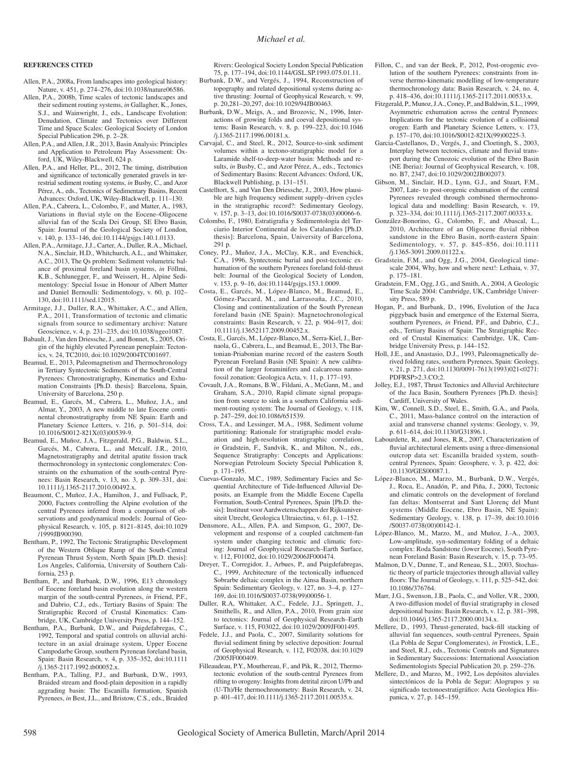#### **REFERENCES CITED**

- Allen, P.A., 2008a, From landscapes into geological history: Nature, v. 451, p. 274-276, doi:10.1038/nature06586.
- Allen, P.A., 2008b, Time scales of tectonic landscapes and their sediment routing systems, *in* Gallagher, K., Jones, S.J., and Wainwright, J., eds., Landscape Evolution: Denudation, Climate and Tectonics over Different Time and Space Scales: Geological Society of London Special Publication 296, p. 2–28.
- Allen, P.A., and Allen, J.R., 2013, Basin Analysis: Principles and Application to Petroleum Play Assessment: Oxford, UK, Wiley-Blackwell, 624 p.
- Allen, P.A., and Heller, P.L., 2012, The timing, distribution and significance of tectonically generated gravels in terrestrial sediment routing systems, *in* Busby, C., and Azor Pérez, A., eds., Tectonics of Sedimentary Basins, Recent Advances: Oxford, UK, Wiley-Blackwell, p. 111–130.
- Allen, P.A., Cabrera, L., Colombo, F., and Matter, A., 1983, Variations in fluvial style on the Eocene–Oligocene alluvial fan of the Scala Dei Group, SE Ebro Basin, Spain: Journal of the Geological Society of London, v. 140, p. 133-146, doi:10.1144/gsjgs.140.1.0133.
- Allen, P.A., Armitage, J.J., Carter, A., Duller, R.A., Michael, N.A., Sinclair, H.D., Whitchurch, A.L., and Whittaker, A.C., 2013, The Qs problem: Sediment volumetric balance of proximal foreland basin systems, *in* Föllmi, K.B., Schlunegger, F., and Weissert, H., Alpine Sedimentology: Special Issue in Honour of Albert Matter and Daniel Bernoulli: Sedimentology, v. 60, p. 102– 130, doi: 10.1111 /sed .12015.
- Armitage, J.J., Duller, R.A., Whittaker, A.C., and Allen, P.A., 2011, Transformation of tectonic and climatic signals from source to sedimentary archive: Nature Geoscience, v. 4, p. 231–235, doi: 10.1038 /ngeo1087.
- Babault, J., Van den Driessche, J., and Bonnet, S., 2005, Origin of the highly elevated Pyrenean peneplain: Tectonics, v. 24, TC2010, doi: 10.1029 /2004TC001697.
- Beamud, E., 2013, Paleomagnetism and Thermochronology in Tertiary Syntectonic Sediments of the South-Central Pyrenees: Chronostratigraphy, Kinematics and Exhumation Constraints [Ph.D. thesis]: Barcelona, Spain, University of Barcelona, 250 p.
- Beamud, E., Garcés, M., Cabrera, L., Muñoz, J.A., and Almar, Y., 2003, A new middle to late Eocene continental chronostratigraphy from NE Spain: Earth and Planetary Science Letters, v. 216, p. 501–514, doi: 10.1016 /S0012 -821X (03)00539-9.
- Beamud, E., Muñoz, J.A., Fitzgerald, P.G., Baldwin, S.L., Garcés, M., Cabrera, L., and Metcalf, J.R., 2010, Magnetostratigraphy and detrital apatite fission track thermochronology in syntectonic conglomerates: Constraints on the exhumation of the south-central Pyrenees: Basin Research, v. 13, no. 3, p. 309–331, doi: 10.1111 /j.1365 -2117 .2010 .00492.x.
- Beaumont, C., Muñoz, J.A., Hamilton, J., and Fullsack, P., 2000, Factors controlling the Alpine evolution of the central Pyrenees inferred from a comparison of observations and geodynamical models: Journal of Geophysical Research, v. 105, p. 8121–8145, doi: 10.1029 /1999JB900390.
- Bentham, P., 1992, The Tectonic Stratigraphic Development of the Western Oblique Ramp of the South-Central Pyrenean Thrust System, North Spain [Ph.D. thesis]: Los Angeles, California, University of Southern California, 253 p.
- Bentham, P., and Burbank, D.W., 1996, E13 chronology of Eocene foreland basin evolution along the western margin of the south-central Pyrenees, *in* Friend, P.F., and Dabrio, C.J., eds., Tertiary Basins of Spain: The Stratigraphic Record of Crustal Kinematics: Cambridge, UK, Cambridge University Press, p. 144–152.
- Bentham, P.A., Burbank, D.W., and Puigdefabregas, C., 1992, Temporal and spatial controls on alluvial architecture in an axial drainage system, Upper Eocene Campodarbe Group, southern Pyrenean foreland basin, Spain: Basin Research, v. 4, p. 335–352, doi: 10.1111 /j.1365 -2117 .1992 .tb00052.x.
- Bentham, P.A., Talling, P.J., and Burbank, D.W., 1993, Braided stream and flood-plain deposition in a rapidly aggrading basin: The Escanilla formation, Spanish Pyrenees, *in* Best, J.L., and Bristow, C.S., eds., Braided

Rivers: Geological Society London Special Publication 75, p. 177–194, doi: 10.1144 /GSL .SP .1993 .075 .01 .11.

- Burbank, D.W., and Vergés, J., 1994, Reconstruction of topography and related depositional systems during active thrusting: Journal of Geophysical Research, v. 99, p. 20,281-20,297, doi:10.1029/94JB00463.
- Burbank, D.W., Meigs, A., and Brozovic, N., 1996, Interactions of growing folds and coeval depositional systems: Basin Research, v. 8, p. 199–223, doi: 10.1046 /j.1365 -2117 .1996 .00181.x.
- Carvajal, C., and Steel, R., 2012, Source-to-sink sediment volumes within a tectono-stratigraphic model for a Laramide shelf-to-deep-water basin: Methods and results, *in* Busby, C., and Azor Pérez, A., eds., Tectonics of Sedimentary Basins: Recent Advances: Oxford, UK, Blackwell Publishing, p. 131–151.
- Castelltort, S., and Van Den Driessche, J., 2003, How plausible are high frequency sediment supply–driven cycles in the stratigraphic record?: Sedimentary Geology, v. 157, p. 3-13, doi:10.1016/S0037-0738(03)00066-6.
- Colombo, F., 1980, Estratigrafia y Sedimentologia del Terciario Interior Continental de los Catalanides [Ph.D. thesis]: Barcelona, Spain, University of Barcelona, 291 p.
- Coney, P.J., Muñoz, J.A., McClay, K.R., and Evenchick, C.A., 1996, Syntectonic burial and post-tectonic exhumation of the southern Pyrenees foreland fold-thrust belt: Journal of the Geological Society of London, v. 153, p. 9-16, doi:10.1144/gsjgs.153.1.0009.
- Costa, E., Garcés, M., López-Blanco, M., Beamud, E., Gómez-Paccard, M., and Larrasoaña, J.C., 2010, Closing and continentalization of the South Pyrenean foreland basin (NE Spain): Magnetochronological constraints: Basin Research, v. 22, p. 904–917, doi: 10.1111 /j.13652117 .2009 .00452.x.
- Costa, E., Garcés, M., López-Blanco, M., Serra-Kiel, J., Bernaola, G., Cabrera, L., and Beamud, E., 2013, The Bartonian-Priabonian marine record of the eastern South Pyrenean Foreland Basin (NE Spain): A new calibration of the larger foraminifers and calcareous nannofossil zonation: Geologica Acta, v. 11, p. 177–193.
- Covault, J.A., Romans, B.W., Fildani, A., McGann, M., and Graham, S.A., 2010, Rapid climate signal propagation from source to sink in a southern California sediment-routing system: The Journal of Geology, v. 118, p. 247-259, doi:10.1086/651539.
- Cross, T.A., and Lessinger, M.A., 1988, Sediment volume partitioning: Rationale for stratigraphic model evaluation and high-resolution stratigraphic correlation, *in* Gradstein, F., Sandvik, K., and Milton, N., eds., Sequence Stratigraphy: Concepts and Applications: Norwegian Petroleum Society Special Publication 8, p. 171–195.
- Cuevas-Gonzalo, M.C., 1989, Sedimentary Facies and Sequential Architecture of Tide-Influenced Alluvial Deposits, an Example from the Middle Eocene Capella Formation, South-Central Pyrenees, Spain [Ph.D. thesis]: Instituut voor Aardwetenschappen der Rijksuniversiteit Utrecht, Geologica Ultraiectina, v. 61, p. 1–152.
- Densmore, A.L., Allen, P.A. and Simpson, G., 2007, Development and response of a coupled catchment-fan system under changing tectonic and climatic forcing: Journal of Geophysical Research–Earth Surface, v. 112, F01002, doi:10.1029/2006JF000474.
- Dreyer, T., Corregidor, J., Arbues, P., and Puigdefabregas, C., 1999, Architecture of the tectonically influenced Sobrarbe deltaic complex in the Ainsa Basin, northern Spain: Sedimentary Geology, v. 127, no. 3–4, p. 127– 169, doi: 10.1016 /S0037 -0738 (99)00056-1.
- Duller, R.A, Whittaker, A.C., Fedele, J.J., Springett, J., Smithells, R., and Allen, P.A., 2010, From grain size to tectonics: Journal of Geophysical Research–Earth Surface, v. 115, F03022, doi:10.1029/2009JF001495.
- Fedele, J.J., and Paola, C., 2007, Similarity solutions for fluvial sediment fining by selective deposition: Journal of Geophysical Research, v. 112, F02038, doi: 10.1029 /2005JF000409.
- Filleaudeau, P.Y., Mouthereau, F., and Pik, R., 2012, Thermotectonic evolution of the south-central Pyrenees from rifting to orogeny: Insights from detrital zircon U/Pb and (U-Th)/He thermochronometry: Basin Research, v. 24, p. 401-417, doi:10.1111/j.1365-2117.2011.00535.x.
- Fillon, C., and van der Beek, P., 2012, Post-orogenic evolution of the southern Pyrenees: constraints from inverse thermo-kinematic modelling of low-temperature thermochronology data: Basin Research, v. 24, no. 4, p. 418-436, doi:10.1111/j.1365-2117.2011.00533.x.
- Fitzgerald, P., Munoz, J.A., Coney, P., and Baldwin, S.L., 1999, Asymmetric exhumation across the central Pyrenees: Implications for the tectonic evolution of a collisional orogen: Earth and Planetary Science Letters, v. 173, p. 157-170, doi:10.1016/S0012-821X(99)00225-3.
- Garcia-Castellanos, D., Vergés, J., and Cloetingh, S., 2003, Interplay between tectonics, climate and fluvial transport during the Cenozoic evolution of the Ebro Basin (NE Iberia): Journal of Geophysical Research, v. 108, no. B7, 2347, doi:10.1029/2002JB002073.
- Gibson, M., Sinclair, H.D., Lynn, G.J., and Stuart, F.M., 2007, Late- to post-orogenic exhumation of the central Pyrenees revealed through combined thermochronological data and modelling: Basin Research, v. 19, p. 323-334, doi:10.1111/j.1365-2117.2007.00333.x.
- González-Bonorino, G., Colombo, F., and Abascal, L., 2010, Architecture of an Oligocene fluvial ribbon sandstone in the Ebro Basin, north-eastern Spain: Sedimentology, v. 57, p. 845–856, doi: 10.1111 /j.1365 -3091 .2009 .01122.x.
- Gradstein, F.M., and Ogg, J.G., 2004, Geological timescale 2004, Why, how and where next!: Lethaia, v. 37, p. 175–181.
- Gradstein, F.M., Ogg, J.G., and Smith, A., 2004, A Geologic Time Scale 2004: Cambridge, UK, Cambridge University Press, 589 p.
- Hogan, P., and Burbank, D., 1996, Evolution of the Jaca piggyback basin and emergence of the External Sierra, southern Pyrenees, *in* Friend, P.F., and Dabrio, C.J., eds., Tertiary Basins of Spain: The Stratigraphic Record of Crustal Kinematics: Cambridge, UK, Cambridge University Press, p. 144–152.
- Holl, J.E., and Anastasio, D.J., 1993, Paleomagnetically derived folding rates, southern Pyrenees, Spain: Geology, v. 21, p. 271, doi:10.1130/0091-7613(1993)021<0271: PDFRSP>2.3 .CO;2.
- Jolley, E.J., 1987, Thrust Tectonics and Alluvial Architecture of the Jaca Basin, Southern Pyrenees [Ph.D. thesis]: Cardiff, University of Wales.
- Kim, W., Connell, S.D., Steel, E., Smith, G.A., and Paola, C., 2011, Mass-balance control on the interaction of axial and transverse channel systems: Geology, v. 39, p. 611-614, doi:10.1130/G31896.1.
- Labourdette, R., and Jones, R.R., 2007, Characterization of fluvial architectural elements using a three-dimensional outcrop data set: Escanilla braided system, southcentral Pyrenees, Spain: Geosphere, v. 3, p. 422, doi: 10.1130/GES00087.1.
- López-Blanco, M., Marzo, M., Burbank, D.W., Vergés, J., Roca, E., Anadón, P., and Piña, J., 2000, Tectonic and climatic controls on the development of foreland fan deltas: Montserrat and Sant Llorenç del Munt systems (Middle Eocene, Ebro Basin, NE Spain): Sedimentary Geology, v. 138, p. 17–39, doi: 10.1016 /S0037 -0738 (00)00142-1.
- López-Blanco, M., Marzo, M., and Muñoz, J.-A., 2003, Low-amplitude, syn-sedimentary folding of a deltaic complex: Roda Sandstone (lower Eocene), South Pyrenean Foreland Basin: Basin Research, v. 15, p. 73–95.
- Malmon, D.V., Dunne, T., and Reneau, S.L., 2003, Stochastic theory of particle trajectories through alluvial valley floors: The Journal of Geology, v. 111, p. 525-542, doi: 10.1086/376764.
- Marr, J.G., Swenson, J.B., Paola, C., and Voller, V.R., 2000, A two-diffusion model of fluvial stratigraphy in closed depositional basins: Basin Research, v. 12, p. 381–398, doi: 10.1046/j.1365-2117.2000.00134.x.
- Mellere, D., 1993, Thrust-generated, back-fill stacking of alluvial fan sequences, south-central Pyrenees, Spain (La Pobla de Segur Conglomerates), *in* Frostick, L.E., and Steel, R.J., eds., Tectonic Controls and Signatures in Sedimentary Successions: International Association Sedimentologists Special Publication 20, p. 259–276.
- Mellere, D., and Marzo, M., 1992, Los depósitos aluviales sintectónicos de la Pobla de Segur: Alogrupos y su significado tectonoestratigráfico: Acta Geologica Hispanica, v. 27, p. 145–159.